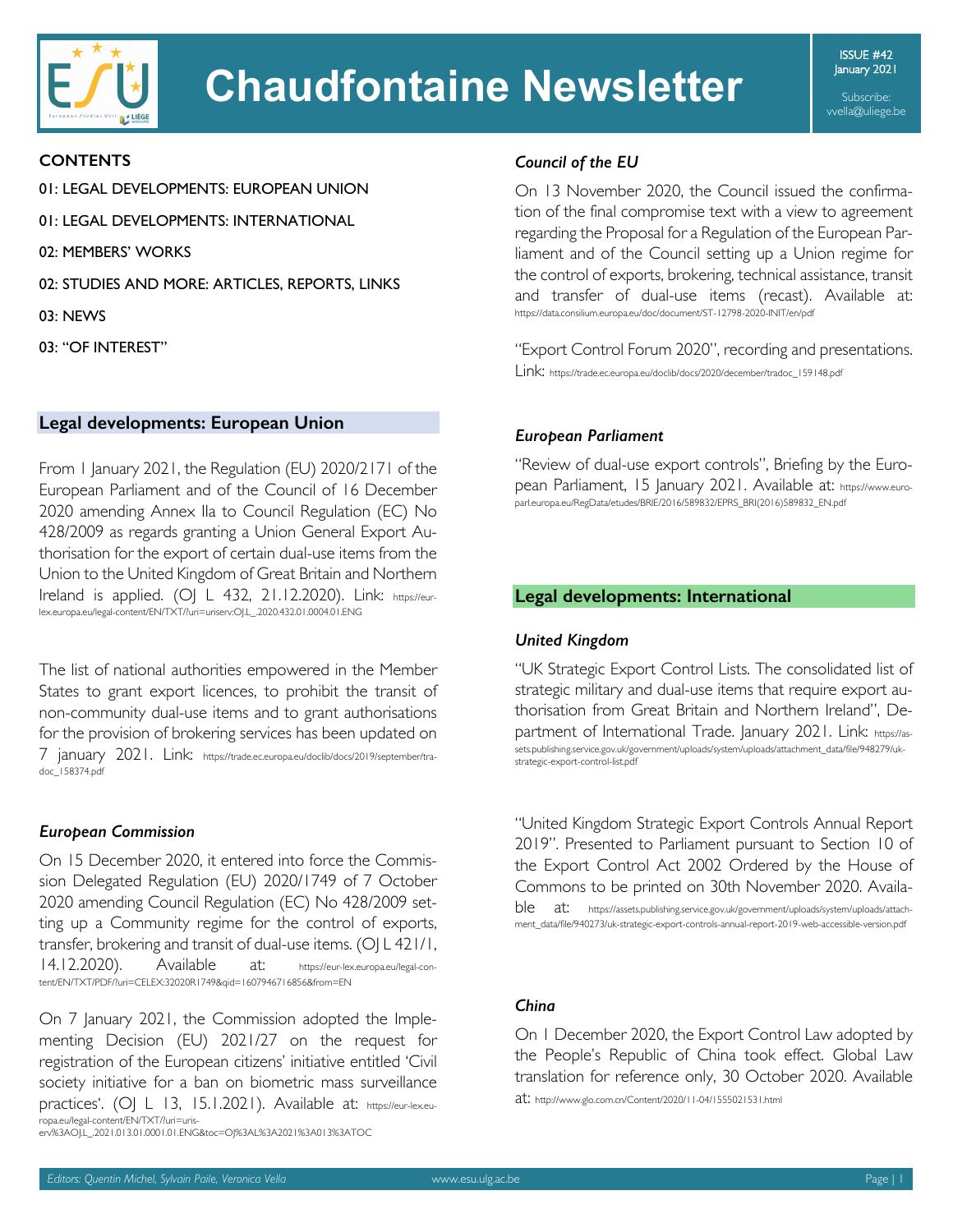

# **Chaudfontaine Newsletter**

ISSUE #42 January 2021

Subscribe: vvella@uliege.be

#### **CONTENTS**

01: LEGAL DEVELOPMENTS: EUROPEAN UNION

01: LEGAL DEVELOPMENTS: INTERNATIONAL

02: MEMBERS' WORKS

02: STUDIES AND MORE: ARTICLES, REPORTS, LINKS

- 03: NEWS
- 03: "OF INTEREST"

## **Legal developments: European Union**

From 1 January 2021, the Regulation (EU) 2020/2171 of the European Parliament and of the Council of 16 December 2020 amending Annex IIa to Council Regulation (EC) No 428/2009 as regards granting a Union General Export Authorisation for the export of certain dual-use items from the Union to the United Kingdom of Great Britain and Northern Ireland is applied. (OJ L 432, 21.12.2020). Link: https://eurlex.europa.eu/legal-content/EN/TXT/?uri=uriserv:OJ.L\_.2020.432.01.0004.01.ENG

The list of national authorities empowered in the Member States to grant export licences, to prohibit the transit of non-community dual-use items and to grant authorisations for the provision of brokering services has been updated on 7 january 2021. Link: https://trade.ec.europa.eu/doclib/docs/2019/september/tradoc\_158374.pdf

#### *European Commission*

On 15 December 2020, it entered into force the Commission Delegated Regulation (EU) 2020/1749 of 7 October 2020 amending Council Regulation (EC) No 428/2009 setting up a Community regime for the control of exports, transfer, brokering and transit of dual-use items. (OJ L 421/1, 14.12.2020). Available at: https://eur-lex.europa.eu/legal-content/EN/TXT/PDF/?uri=CELEX:32020R1749&qid=1607946716856&from=EN

On 7 January 2021, the Commission adopted the Implementing Decision (EU) 2021/27 on the request for registration of the European citizens' initiative entitled 'Civil society initiative for a ban on biometric mass surveillance practices'. (OJ L 13, 15.1.2021). Available at: https://eur-lex.europa.eu/legal-content/EN/TXT/?uri=uriserv%3AOJ.L\_.2021.013.01.0001.01.ENG&toc=OJ%3AL%3A2021%3A013%3ATOC

#### *Council of the EU*

On 13 November 2020, the Council issued the confirmation of the final compromise text with a view to agreement regarding the Proposal for a Regulation of the European Parliament and of the Council setting up a Union regime for the control of exports, brokering, technical assistance, transit and transfer of dual-use items (recast). Available at: https://data.consilium.europa.eu/doc/document/ST-12798-2020-INIT/en/pdf

"Export Control Forum 2020", recording and presentations. Link: https://trade.ec.europa.eu/doclib/docs/2020/december/tradoc\_159148.pdf

#### *European Parliament*

"Review of dual-use export controls", Briefing by the European Parliament, 15 January 2021. Available at: https://www.europarl.europa.eu/RegData/etudes/BRIE/2016/589832/EPRS\_BRI(2016)589832\_EN.pdf

#### **Legal developments: International**

#### *United Kingdom*

"UK Strategic Export Control Lists. The consolidated list of strategic military and dual-use items that require export authorisation from Great Britain and Northern Ireland", Department of International Trade. January 2021. Link: https://assets.publishing.service.gov.uk/government/uploads/system/uploads/attachment\_data/file/948279/ukstrategic-export-control-list.pdf

"United Kingdom Strategic Export Controls Annual Report 2019". Presented to Parliament pursuant to Section 10 of the Export Control Act 2002 Ordered by the House of Commons to be printed on 30th November 2020. Availa-

ble at: https://assets.publishing.service.gov.uk/government/uploads/system/uploads/attachment\_data/file/940273/uk-strategic-export-controls-annual-report-2019-web-accessible-version.pdf

#### *China*

On 1 December 2020, the Export Control Law adopted by the People's Republic of China took effect. Global Law translation for reference only, 30 October 2020. Available at: http://www.glo.com.cn/Content/2020/11-04/1555021531.html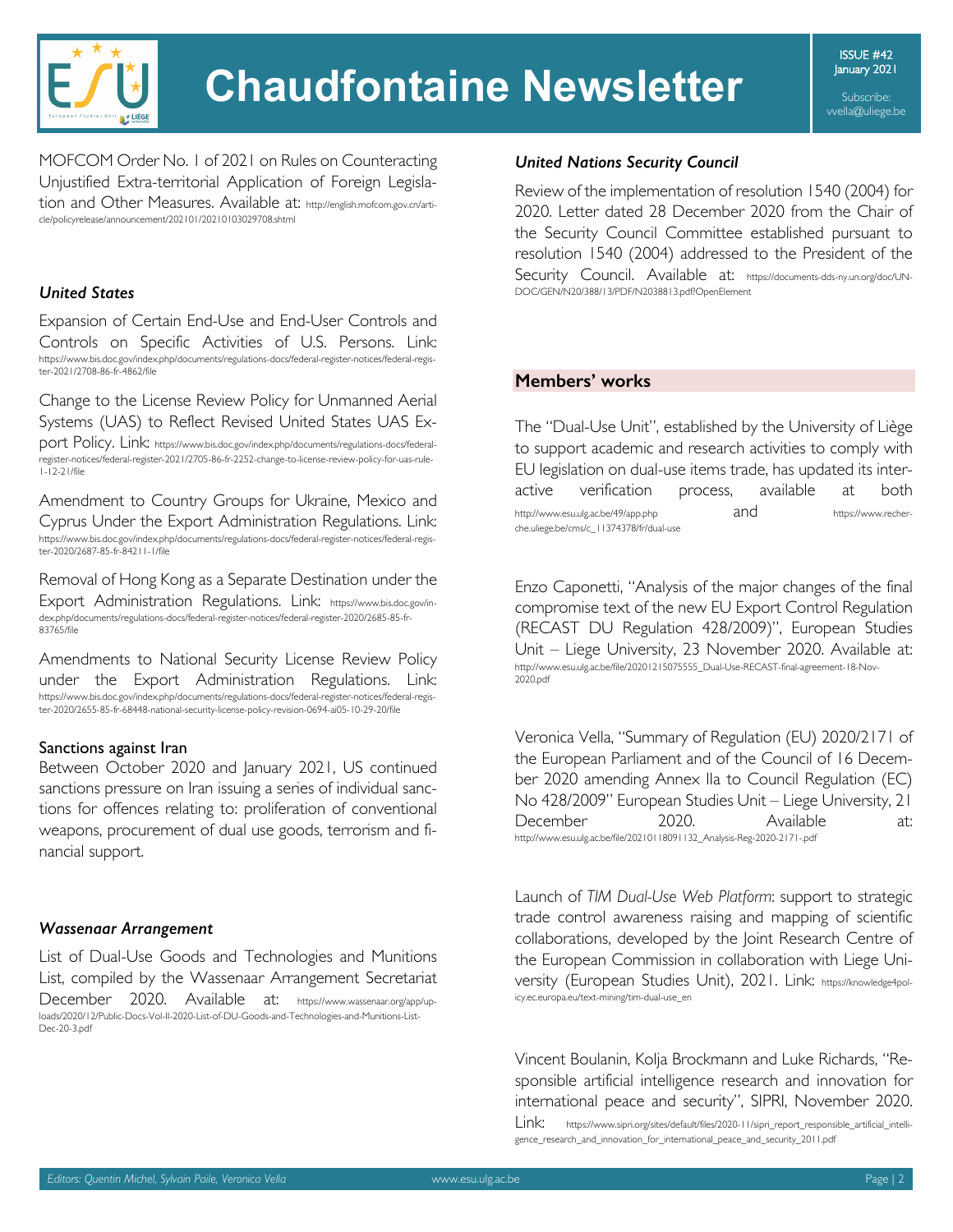

ISSUE #42 January 2021

Subscribe: vvella@uliege.be

MOFCOM Order No. 1 of 2021 on Rules on Counteracting Unjustified Extra-territorial Application of Foreign Legislation and Other Measures. Available at: http://english.mofcom.gov.cn/article/policyrelease/announcement/202101/20210103029708.shtml

# *United States*

Expansion of Certain End-Use and End-User Controls and Controls on Specific Activities of U.S. Persons. Link: https://www.bis.doc.gov/index.php/documents/regulations-docs/federal-register-notices/federal-register-2021/2708-86-fr-4862/file

Change to the License Review Policy for Unmanned Aerial Systems (UAS) to Reflect Revised United States UAS Ex-

port Policy. Link: https://www.bis.doc.gov/index.php/documents/regulations-docs/federalregister-notices/federal-register-2021/2705-86-fr-2252-change-to-license-review-policy-for-uas-rule-1-12-21/file

Amendment to Country Groups for Ukraine, Mexico and Cyprus Under the Export Administration Regulations. Link: https://www.bis.doc.gov/index.php/documents/regulations-docs/federal-register-notices/federal-regis-ter-2020/2687-85-fr-84211-1/file

Removal of Hong Kong as a Separate Destination under the Export Administration Regulations. Link: https://www.bis.doc.gov/index.php/documents/regulations-docs/federal-register-notices/federal-register-2020/2685-85-fr-83765/file

Amendments to National Security License Review Policy under the Export Administration Regulations. Link: https://www.bis.doc.gov/index.php/documents/regulations-docs/federal-register-notices/federal-register-2020/2655-85-fr-68448-national-security-license-policy-revision-0694-ai05-10-29-20/file

#### Sanctions against Iran

Between October 2020 and January 2021, US continued sanctions pressure on Iran issuing a series of individual sanctions for offences relating to: proliferation of conventional weapons, procurement of dual use goods, terrorism and financial support.

# *Wassenaar Arrangement*

List of Dual-Use Goods and Technologies and Munitions List, compiled by the Wassenaar Arrangement Secretariat December 2020. Available at: https://www.wassenaar.org/app/uploads/2020/12/Public-Docs-Vol-II-2020-List-of-DU-Goods-and-Technologies-and-Munitions-List-Dec-20-3.pdf

## *United Nations Security Council*

Review of the implementation of resolution 1540 (2004) for 2020. Letter dated 28 December 2020 from the Chair of the Security Council Committee established pursuant to resolution 1540 (2004) addressed to the President of the Security Council. Available at: https://documents-dds-ny.un.org/doc/UN-DOC/GEN/N20/388/13/PDF/N2038813.pdf?OpenElement

# **Members' works**

The "Dual-Use Unit", established by the University of Liège to support academic and research activities to comply with EU legislation on dual-use items trade, has updated its interactive verification process, available at both http://www.esu.ulg.ac.be/49/app.php and and https://www.recherche.uliege.be/cms/c\_11374378/fr/dual-use

Enzo Caponetti, "Analysis of the major changes of the final compromise text of the new EU Export Control Regulation (RECAST DU Regulation 428/2009)", European Studies Unit – Liege University, 23 November 2020. Available at: http://www.esu.ulg.ac.be/file/20201215075555\_Dual-Use-RECAST-final-agreement-18-Nov-2020.pdf

Veronica Vella, "Summary of Regulation (EU) 2020/2171 of the European Parliament and of the Council of 16 December 2020 amending Annex IIa to Council Regulation (EC) No 428/2009" European Studies Unit – Liege University, 21 December 2020. Available at: http://www.esu.ulg.ac.be/file/20210118091132\_Analysis-Reg-2020-2171-.pdf

Launch of *TIM Dual-Use Web Platform*: support to strategic trade control awareness raising and mapping of scientific collaborations, developed by the Joint Research Centre of the European Commission in collaboration with Liege University (European Studies Unit), 2021. Link: https://knowledge4policy.ec.europa.eu/text-mining/tim-dual-use\_en

Vincent Boulanin, Kolja Brockmann and Luke Richards, "Responsible artificial intelligence research and innovation for international peace and security", SIPRI, November 2020. Link: https://www.sipri.org/sites/default/files/2020-11/sipri\_report\_responsible\_artificial\_intelligence\_research\_and\_innovation\_for\_international\_peace\_and\_security\_2011.pdf